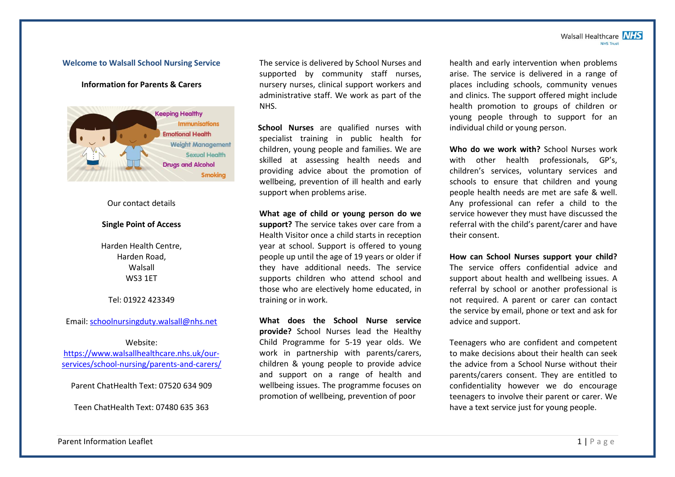#### Walsall Healthcare NHS **NHS Trust**

### **Welcome to Walsall School Nursing Service**

## **Information for Parents & Carers**



# Our contact details

### **Single Point of Access**

Harden Health Centre, Harden Road, Walsall WS3 1ET

### Tel: 01922 423349

Email: [schoolnursingduty.walsall@nhs.net](mailto:schoolnursingduty.walsall@nhs.net)

#### Website:

[https://www.walsallhealthcare.nhs.uk/our](https://www.walsallhealthcare.nhs.uk/our-services/school-nursing/parents-and-carers/)[services/school-nursing/parents-and-carers/](https://www.walsallhealthcare.nhs.uk/our-services/school-nursing/parents-and-carers/)

Parent ChatHealth Text: 07520 634 909

Teen ChatHealth Text: 07480 635 363

The service is delivered by School Nurses and supported by community staff nurses, nursery nurses, clinical support workers and administrative staff. We work as part of the NHS.

 **School Nurses** are qualified nurses with specialist training in public health for children, young people and families. We are skilled at assessing health needs and providing advice about the promotion of wellbeing, prevention of ill health and early support when problems arise.

**What age of child or young person do we support?** The service takes over care from a Health Visitor once a child starts in reception year at school. Support is offered to young people up until the age of 19 years or older if they have additional needs. The service supports children who attend school and those who are electively home educated, in training or in work.

**What does the School Nurse service provide?** School Nurses lead the Healthy Child Programme for 5-19 year olds. We work in partnership with parents/carers, children & young people to provide advice and support on a range of health and wellbeing issues. The programme focuses on promotion of wellbeing, prevention of poor

health and early intervention when problems arise. The service is delivered in a range of places including schools, community venues and clinics. The support offered might include health promotion to groups of children or young people through to support for an individual child or young person.

**Who do we work with?** School Nurses work with other health professionals, GP's, children's services, voluntary services and schools to ensure that children and young people health needs are met are safe & well. Any professional can refer a child to the service however they must have discussed the referral with the child's parent/carer and have their consent.

**How can School Nurses support your child?**  The service offers confidential advice and support about health and wellbeing issues. A referral by school or another professional is not required. A parent or carer can contact the service by email, phone or text and ask for advice and support.

Teenagers who are confident and competent to make decisions about their health can seek the advice from a School Nurse without their parents/carers consent. They are entitled to confidentiality however we do encourage teenagers to involve their parent or carer. We have a text service just for young people.

Parent Information Leaflet 1 | P a g e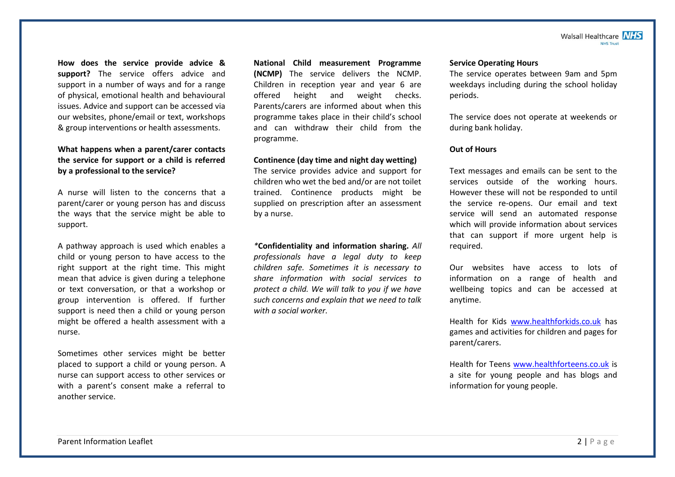#### Walsall Healthcare **NHS NHS Trust**

**How does the service provide advice & support?** The service offers advice and support in a number of ways and for a range of physical, emotional health and behavioural issues. Advice and support can be accessed via our websites, phone/email or text, workshops & group interventions or health assessments.

**What happens when a parent/carer contacts the service for support or a child is referred by a professional to the service?**

A nurse will listen to the concerns that a parent/carer or young person has and discuss the ways that the service might be able to support.

A pathway approach is used which enables a child or young person to have access to the right support at the right time. This might mean that advice is given during a telephone or text conversation, or that a workshop or group intervention is offered. If further support is need then a child or young person might be offered a health assessment with a nurse.

Sometimes other services might be better placed to support a child or young person. A nurse can support access to other services or with a parent's consent make a referral to another service.

**National Child measurement Programme (NCMP)** The service delivers the NCMP. Children in reception year and year 6 are offered height and weight checks. Parents/carers are informed about when this programme takes place in their child's school and can withdraw their child from the programme.

## **Continence (day time and night day wetting)**

The service provides advice and support for children who wet the bed and/or are not toilet trained. Continence products might be supplied on prescription after an assessment by a nurse.

*\****Confidentiality and information sharing.** *All professionals have a legal duty to keep children safe. Sometimes it is necessary to share information with social services to protect a child. We will talk to you if we have such concerns and explain that we need to talk with a social worker.*

### **Service Operating Hours**

The service operates between 9am and 5pm weekdays including during the school holiday periods.

The service does not operate at weekends or during bank holiday.

## **Out of Hours**

Text messages and emails can be sent to the services outside of the working hours. However these will not be responded to until the service re-opens. Our email and text service will send an automated response which will provide information about services that can support if more urgent help is required.

Our websites have access to lots of information on a range of health and wellbeing topics and can be accessed at anytime.

Health for Kids [www.healthforkids.co.uk](http://www.healthforkids.co.uk/) has games and activities for children and pages for parent/carers.

Health for Teens [www.healthforteens.co.uk](http://www.healthforteens.co.uk/) is a site for young people and has blogs and information for young people.